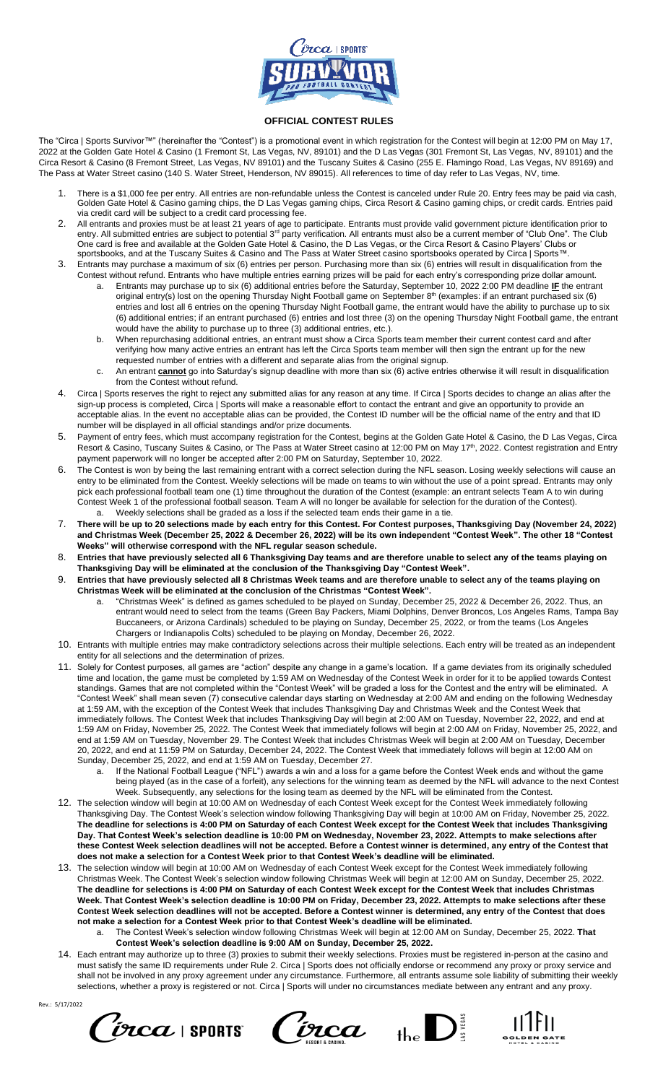

## **OFFICIAL CONTEST RULES**

The "Circa | Sports Survivor™" (hereinafter the "Contest") is a promotional event in which registration for the Contest will begin at 12:00 PM on May 17, 2022 at the Golden Gate Hotel & Casino (1 Fremont St, Las Vegas, NV, 89101) and the D Las Vegas (301 Fremont St, Las Vegas, NV, 89101) and the Circa Resort & Casino (8 Fremont Street, Las Vegas, NV 89101) and the Tuscany Suites & Casino (255 E. Flamingo Road, Las Vegas, NV 89169) and The Pass at Water Street casino (140 S. Water Street, Henderson, NV 89015). All references to time of day refer to Las Vegas, NV, time.

- 1. There is a \$1,000 fee per entry. All entries are non-refundable unless the Contest is canceled under Rule 20. Entry fees may be paid via cash, Golden Gate Hotel & Casino gaming chips, the D Las Vegas gaming chips, Circa Resort & Casino gaming chips, or credit cards. Entries paid via credit card will be subject to a credit card processing fee.
- 2. All entrants and proxies must be at least 21 years of age to participate. Entrants must provide valid government picture identification prior to entry. All submitted entries are subject to potential 3<sup>rd</sup> party verification. All entrants must also be a current member of "Club One". The Club One card is free and available at the Golden Gate Hotel & Casino, the D Las Vegas, or the Circa Resort & Casino Players' Clubs or sportsbooks, and at the Tuscany Suites & Casino and The Pass at Water Street casino sportsbooks operated by Circa | Sports™.
- 3. Entrants may purchase a maximum of six (6) entries per person. Purchasing more than six (6) entries will result in disqualification from the Contest without refund. Entrants who have multiple entries earning prizes will be paid for each entry's corresponding prize dollar amount.
	- a. Entrants may purchase up to six (6) additional entries before the Saturday, September 10, 2022 2:00 PM deadline **IF** the entrant original entry(s) lost on the opening Thursday Night Football game on September 8<sup>th</sup> (examples: if an entrant purchased six (6) entries and lost all 6 entries on the opening Thursday Night Football game, the entrant would have the ability to purchase up to six (6) additional entries; if an entrant purchased (6) entries and lost three (3) on the opening Thursday Night Football game, the entrant would have the ability to purchase up to three (3) additional entries, etc.).
	- b. When repurchasing additional entries, an entrant must show a Circa Sports team member their current contest card and after verifying how many active entries an entrant has left the Circa Sports team member will then sign the entrant up for the new requested number of entries with a different and separate alias from the original signup.
	- c. An entrant **cannot** go into Saturday's signup deadline with more than six (6) active entries otherwise it will result in disqualification from the Contest without refund.
- 4. Circa | Sports reserves the right to reject any submitted alias for any reason at any time. If Circa | Sports decides to change an alias after the sign-up process is completed, Circa | Sports will make a reasonable effort to contact the entrant and give an opportunity to provide an acceptable alias. In the event no acceptable alias can be provided, the Contest ID number will be the official name of the entry and that ID number will be displayed in all official standings and/or prize documents.
- 5. Payment of entry fees, which must accompany registration for the Contest, begins at the Golden Gate Hotel & Casino, the D Las Vegas, Circa Resort & Casino, Tuscany Suites & Casino, or The Pass at Water Street casino at 12:00 PM on May 17th, 2022. Contest registration and Entry payment paperwork will no longer be accepted after 2:00 PM on Saturday, September 10, 2022.
- 6. The Contest is won by being the last remaining entrant with a correct selection during the NFL season. Losing weekly selections will cause an entry to be eliminated from the Contest. Weekly selections will be made on teams to win without the use of a point spread. Entrants may only pick each professional football team one (1) time throughout the duration of the Contest (example: an entrant selects Team A to win during Contest Week 1 of the professional football season. Team A will no longer be available for selection for the duration of the Contest). Weekly selections shall be graded as a loss if the selected team ends their game in a tie.
- 7. **There will be up to 20 selections made by each entry for this Contest. For Contest purposes, Thanksgiving Day (November 24, 2022) and Christmas Week (December 25, 2022 & December 26, 2022) will be its own independent "Contest Week". The other 18 "Contest Weeks" will otherwise correspond with the NFL regular season schedule.**
- 8. **Entries that have previously selected all 6 Thanksgiving Day teams and are therefore unable to select any of the teams playing on Thanksgiving Day will be eliminated at the conclusion of the Thanksgiving Day "Contest Week".**
- 9. **Entries that have previously selected all 8 Christmas Week teams and are therefore unable to select any of the teams playing on Christmas Week will be eliminated at the conclusion of the Christmas "Contest Week".**
	- "Christmas Week" is defined as games scheduled to be played on Sunday, December 25, 2022 & December 26, 2022. Thus, an entrant would need to select from the teams (Green Bay Packers, Miami Dolphins, Denver Broncos, Los Angeles Rams, Tampa Bay Buccaneers, or Arizona Cardinals) scheduled to be playing on Sunday, December 25, 2022, or from the teams (Los Angeles Chargers or Indianapolis Colts) scheduled to be playing on Monday, December 26, 2022.
- 10. Entrants with multiple entries may make contradictory selections across their multiple selections. Each entry will be treated as an independent entity for all selections and the determination of prizes.
- 11. Solely for Contest purposes, all games are "action" despite any change in a game's location. If a game deviates from its originally scheduled time and location, the game must be completed by 1:59 AM on Wednesday of the Contest Week in order for it to be applied towards Contest standings. Games that are not completed within the "Contest Week" will be graded a loss for the Contest and the entry will be eliminated. A "Contest Week" shall mean seven (7) consecutive calendar days starting on Wednesday at 2:00 AM and ending on the following Wednesday at 1:59 AM, with the exception of the Contest Week that includes Thanksgiving Day and Christmas Week and the Contest Week that immediately follows. The Contest Week that includes Thanksgiving Day will begin at 2:00 AM on Tuesday, November 22, 2022, and end at 1:59 AM on Friday, November 25, 2022. The Contest Week that immediately follows will begin at 2:00 AM on Friday, November 25, 2022, and end at 1:59 AM on Tuesday, November 29. The Contest Week that includes Christmas Week will begin at 2:00 AM on Tuesday, December 20, 2022, and end at 11:59 PM on Saturday, December 24, 2022. The Contest Week that immediately follows will begin at 12:00 AM on Sunday, December 25, 2022, and end at 1:59 AM on Tuesday, December 27.
	- a. If the National Football League ("NFL") awards a win and a loss for a game before the Contest Week ends and without the game being played (as in the case of a forfeit), any selections for the winning team as deemed by the NFL will advance to the next Contest Week. Subsequently, any selections for the losing team as deemed by the NFL will be eliminated from the Contest.
- 12. The selection window will begin at 10:00 AM on Wednesday of each Contest Week except for the Contest Week immediately following Thanksgiving Day. The Contest Week's selection window following Thanksgiving Day will begin at 10:00 AM on Friday, November 25, 2022. **The deadline for selections is 4:00 PM on Saturday of each Contest Week except for the Contest Week that includes Thanksgiving Day. That Contest Week's selection deadline is 10:00 PM on Wednesday, November 23, 2022. Attempts to make selections after these Contest Week selection deadlines will not be accepted. Before a Contest winner is determined, any entry of the Contest that does not make a selection for a Contest Week prior to that Contest Week's deadline will be eliminated.**
- 13. The selection window will begin at 10:00 AM on Wednesday of each Contest Week except for the Contest Week immediately following Christmas Week. The Contest Week's selection window following Christmas Week will begin at 12:00 AM on Sunday, December 25, 2022. **The deadline for selections is 4:00 PM on Saturday of each Contest Week except for the Contest Week that includes Christmas Week. That Contest Week's selection deadline is 10:00 PM on Friday, December 23, 2022. Attempts to make selections after these Contest Week selection deadlines will not be accepted. Before a Contest winner is determined, any entry of the Contest that does not make a selection for a Contest Week prior to that Contest Week's deadline will be eliminated.**
	- a. The Contest Week's selection window following Christmas Week will begin at 12:00 AM on Sunday, December 25, 2022. **That Contest Week's selection deadline is 9:00 AM on Sunday, December 25, 2022.**
- 14. Each entrant may authorize up to three (3) proxies to submit their weekly selections. Proxies must be registered in-person at the casino and must satisfy the same ID requirements under Rule 2. Circa | Sports does not officially endorse or recommend any proxy or proxy service and shall not be involved in any proxy agreement under any circumstance. Furthermore, all entrants assume sole liability of submitting their weekly selections, whether a proxy is registered or not. Circa | Sports will under no circumstances mediate between any entrant and any proxy.







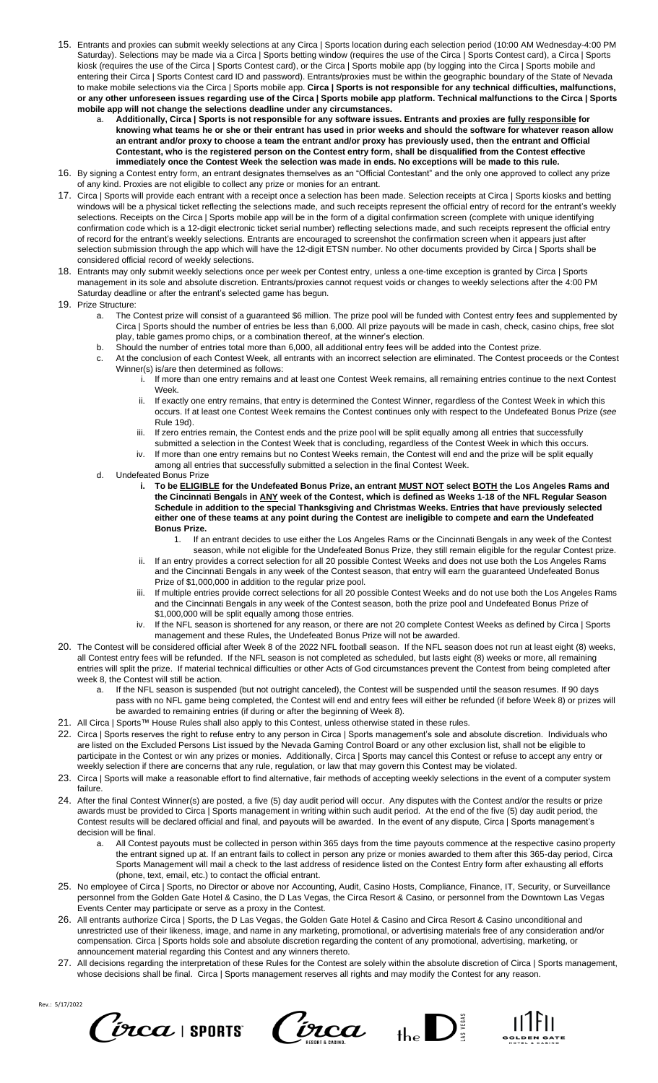- 15. Entrants and proxies can submit weekly selections at any Circa | Sports location during each selection period (10:00 AM Wednesday-4:00 PM Saturday). Selections may be made via a Circa | Sports betting window (requires the use of the Circa | Sports Contest card), a Circa | Sports kiosk (requires the use of the Circa | Sports Contest card), or the Circa | Sports mobile app (by logging into the Circa | Sports mobile and entering their Circa | Sports Contest card ID and password). Entrants/proxies must be within the geographic boundary of the State of Nevada to make mobile selections via the Circa | Sports mobile app. **Circa | Sports is not responsible for any technical difficulties, malfunctions, or any other unforeseen issues regarding use of the Circa | Sports mobile app platform. Technical malfunctions to the Circa | Sports mobile app will not change the selections deadline under any circumstances.**
	- a. **Additionally, Circa | Sports is not responsible for any software issues. Entrants and proxies are fully responsible for knowing what teams he or she or their entrant has used in prior weeks and should the software for whatever reason allow an entrant and/or proxy to choose a team the entrant and/or proxy has previously used, then the entrant and Official Contestant, who is the registered person on the Contest entry form, shall be disqualified from the Contest effective immediately once the Contest Week the selection was made in ends. No exceptions will be made to this rule.**
- 16. By signing a Contest entry form, an entrant designates themselves as an "Official Contestant" and the only one approved to collect any prize of any kind. Proxies are not eligible to collect any prize or monies for an entrant.
- 17. Circa | Sports will provide each entrant with a receipt once a selection has been made. Selection receipts at Circa | Sports kiosks and betting windows will be a physical ticket reflecting the selections made, and such receipts represent the official entry of record for the entrant's weekly selections. Receipts on the Circa | Sports mobile app will be in the form of a digital confirmation screen (complete with unique identifying confirmation code which is a 12-digit electronic ticket serial number) reflecting selections made, and such receipts represent the official entry of record for the entrant's weekly selections. Entrants are encouraged to screenshot the confirmation screen when it appears just after selection submission through the app which will have the 12-digit ETSN number. No other documents provided by Circa | Sports shall be considered official record of weekly selections.
- 18. Entrants may only submit weekly selections once per week per Contest entry, unless a one-time exception is granted by Circa | Sports management in its sole and absolute discretion. Entrants/proxies cannot request voids or changes to weekly selections after the 4:00 PM Saturday deadline or after the entrant's selected game has begun.
- 19. Prize Structure:
	- a. The Contest prize will consist of a guaranteed \$6 million. The prize pool will be funded with Contest entry fees and supplemented by Circa | Sports should the number of entries be less than 6,000. All prize payouts will be made in cash, check, casino chips, free slot play, table games promo chips, or a combination thereof, at the winner's election.
	- b. Should the number of entries total more than 6,000, all additional entry fees will be added into the Contest prize.
	- c. At the conclusion of each Contest Week, all entrants with an incorrect selection are eliminated. The Contest proceeds or the Contest Winner(s) is/are then determined as follows:
		- i. If more than one entry remains and at least one Contest Week remains, all remaining entries continue to the next Contest Week.
			- If exactly one entry remains, that entry is determined the Contest Winner, regardless of the Contest Week in which this occurs. If at least one Contest Week remains the Contest continues only with respect to the Undefeated Bonus Prize (*see* Rule 19d).
		- iii. If zero entries remain, the Contest ends and the prize pool will be split equally among all entries that successfully submitted a selection in the Contest Week that is concluding, regardless of the Contest Week in which this occurs.
		- If more than one entry remains but no Contest Weeks remain, the Contest will end and the prize will be split equally among all entries that successfully submitted a selection in the final Contest Week.
	- d. Undefeated Bonus Prize
		- **i. To be ELIGIBLE for the Undefeated Bonus Prize, an entrant MUST NOT select BOTH the Los Angeles Rams and the Cincinnati Bengals in ANY week of the Contest, which is defined as Weeks 1-18 of the NFL Regular Season Schedule in addition to the special Thanksgiving and Christmas Weeks. Entries that have previously selected either one of these teams at any point during the Contest are ineligible to compete and earn the Undefeated Bonus Prize.**
			- 1. If an entrant decides to use either the Los Angeles Rams or the Cincinnati Bengals in any week of the Contest season, while not eligible for the Undefeated Bonus Prize, they still remain eligible for the regular Contest prize.
		- ii. If an entry provides a correct selection for all 20 possible Contest Weeks and does not use both the Los Angeles Rams and the Cincinnati Bengals in any week of the Contest season, that entry will earn the guaranteed Undefeated Bonus Prize of \$1,000,000 in addition to the regular prize pool.
		- iii. If multiple entries provide correct selections for all 20 possible Contest Weeks and do not use both the Los Angeles Rams and the Cincinnati Bengals in any week of the Contest season, both the prize pool and Undefeated Bonus Prize of \$1,000,000 will be split equally among those entries.
		- If the NFL season is shortened for any reason, or there are not 20 complete Contest Weeks as defined by Circa | Sports management and these Rules, the Undefeated Bonus Prize will not be awarded.
- 20. The Contest will be considered official after Week 8 of the 2022 NFL football season. If the NFL season does not run at least eight (8) weeks, all Contest entry fees will be refunded. If the NFL season is not completed as scheduled, but lasts eight (8) weeks or more, all remaining entries will split the prize. If material technical difficulties or other Acts of God circumstances prevent the Contest from being completed after week 8, the Contest will still be action.
	- a. If the NFL season is suspended (but not outright canceled), the Contest will be suspended until the season resumes. If 90 days pass with no NFL game being completed, the Contest will end and entry fees will either be refunded (if before Week 8) or prizes will be awarded to remaining entries (if during or after the beginning of Week 8).
- 21. All Circa | Sports™ House Rules shall also apply to this Contest, unless otherwise stated in these rules.
- 22. Circa | Sports reserves the right to refuse entry to any person in Circa | Sports management's sole and absolute discretion. Individuals who are listed on the Excluded Persons List issued by the Nevada Gaming Control Board or any other exclusion list, shall not be eligible to participate in the Contest or win any prizes or monies. Additionally, Circa | Sports may cancel this Contest or refuse to accept any entry or weekly selection if there are concerns that any rule, regulation, or law that may govern this Contest may be violated.
- 23. Circa | Sports will make a reasonable effort to find alternative, fair methods of accepting weekly selections in the event of a computer system failure.
- 24. After the final Contest Winner(s) are posted, a five (5) day audit period will occur. Any disputes with the Contest and/or the results or prize awards must be provided to Circa | Sports management in writing within such audit period. At the end of the five (5) day audit period, the Contest results will be declared official and final, and payouts will be awarded. In the event of any dispute, Circa | Sports management's decision will be final.
	- a. All Contest payouts must be collected in person within 365 days from the time payouts commence at the respective casino property the entrant signed up at. If an entrant fails to collect in person any prize or monies awarded to them after this 365-day period, Circa Sports Management will mail a check to the last address of residence listed on the Contest Entry form after exhausting all efforts (phone, text, email, etc.) to contact the official entrant.
- 25. No employee of Circa | Sports, no Director or above nor Accounting, Audit, Casino Hosts, Compliance, Finance, IT, Security, or Surveillance personnel from the Golden Gate Hotel & Casino, the D Las Vegas, the Circa Resort & Casino, or personnel from the Downtown Las Vegas Events Center may participate or serve as a proxy in the Contest.
- 26. All entrants authorize Circa | Sports, the D Las Vegas, the Golden Gate Hotel & Casino and Circa Resort & Casino unconditional and unrestricted use of their likeness, image, and name in any marketing, promotional, or advertising materials free of any consideration and/or compensation. Circa | Sports holds sole and absolute discretion regarding the content of any promotional, advertising, marketing, or announcement material regarding this Contest and any winners thereto.
- 27. All decisions regarding the interpretation of these Rules for the Contest are solely within the absolute discretion of Circa | Sports management, whose decisions shall be final. Circa | Sports management reserves all rights and may modify the Contest for any reason.